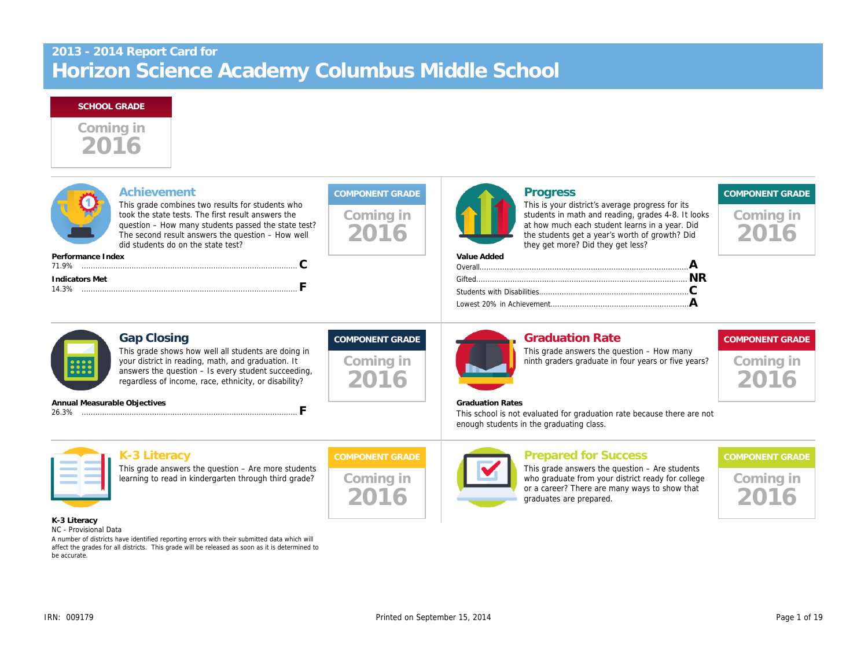# **2013 - 2014 Report Card for Horizon Science Academy Columbus Middle School**

#### **SCHOOL GRADE**



| Achievement<br>This grade combines two results for students who<br>took the state tests. The first result answers the<br>question - How many students passed the state test?<br>The second result answers the question - How well<br>did students do on the state test? | <b>COMPONENT GRADE</b><br>Coming in<br>2016 | Progress                                                            | This is your district's average progress for its<br>students in math and reading, grades 4-8. It looks<br>at how much each student learns in a year. Did<br>the students get a year's worth of growth? Did<br>they get more? Did they get less? | <b>COMPONENT GRADE</b><br>Coming in |
|-------------------------------------------------------------------------------------------------------------------------------------------------------------------------------------------------------------------------------------------------------------------------|---------------------------------------------|---------------------------------------------------------------------|-------------------------------------------------------------------------------------------------------------------------------------------------------------------------------------------------------------------------------------------------|-------------------------------------|
| Performance Index                                                                                                                                                                                                                                                       |                                             | Value Added                                                         |                                                                                                                                                                                                                                                 |                                     |
| <b>Indicators Met</b>                                                                                                                                                                                                                                                   |                                             |                                                                     |                                                                                                                                                                                                                                                 |                                     |
| <b>Gap Closing</b><br>This grade shows how well all students are doing in<br>your district in reading, math, and graduation. It<br><b>::::</b><br>answers the question - Is every student succeeding,<br>regardless of income, race, ethnicity, or disability?          | <b>COMPONENT GRADE</b><br>Coming in         |                                                                     | <b>Graduation Rate</b><br>This grade answers the question - How many<br>ninth graders graduate in four years or five years?                                                                                                                     | <b>COMPONENT GRADE</b><br>Coming in |
| Annual Measurable Objectives                                                                                                                                                                                                                                            |                                             | <b>Graduation Rates</b><br>enough students in the graduating class. | This school is not evaluated for graduation rate because there are not                                                                                                                                                                          |                                     |
| K-3 Literacy                                                                                                                                                                                                                                                            | <b>COMPONENT GRADE</b>                      |                                                                     | <b>Prepared for Success</b>                                                                                                                                                                                                                     | <b>COMPONENT GRADE</b>              |
| This grade answers the question - Are more students<br>learning to read in kindergarten through third grade?                                                                                                                                                            | Coming in                                   |                                                                     | This grade answers the question - Are students<br>who graduate from your district ready for college<br>or a career? There are many ways to show that<br>graduates are prepared.                                                                 | Coming in                           |
| K-3 Literacy<br>NC - Provisional Data                                                                                                                                                                                                                                   |                                             |                                                                     |                                                                                                                                                                                                                                                 |                                     |

*A number of districts have identified reporting errors with their submitted data which will affect the grades for all districts. This grade will be released as soon as it is determined to be accurate.*

IRN: 009179 Printed on September 15, 2014 Printed on September 15, 2014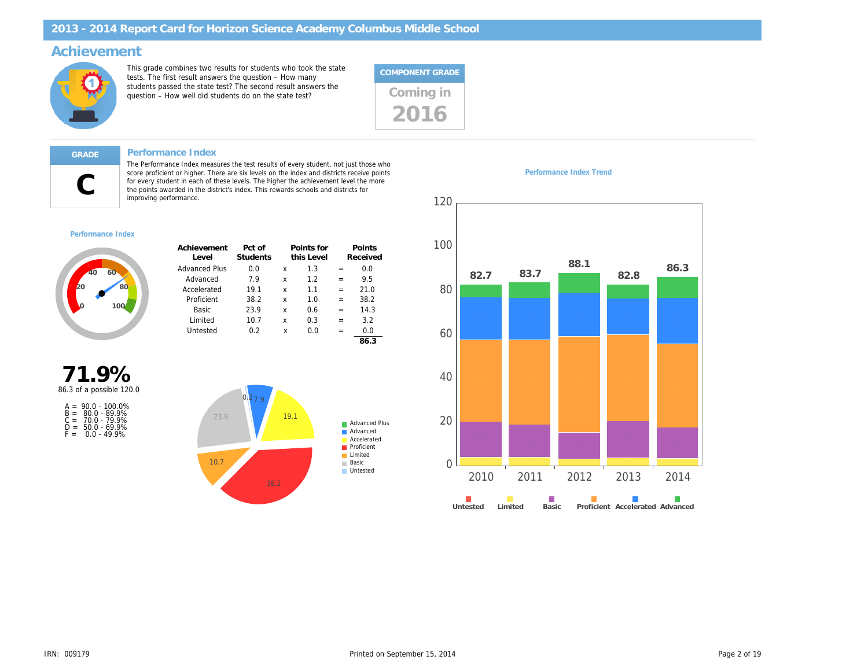## **Achievement**



This grade combines two results for students who took the state tests. The first result answers the question – How many students passed the state test? The second result answers the statents passed the state test? The second result answers the Coming in





#### **GRADE Performance Index**

The Performance Index measures the test results of every student, not just those who score proficient or higher. There are six levels on the index and districts receive points for every student in each of these levels. The higher the achievement level the more the points awarded in the district's index. This rewards schools and districts for improving performance.

#### *Performance Index Trend*



*Performance Index*



| Achievement<br>Level | Pct of<br>Students |   | Points for<br>this Level |     | Points<br>Received |
|----------------------|--------------------|---|--------------------------|-----|--------------------|
| <b>Advanced Plus</b> | 0.0                | x | 1.3                      |     | 0.0                |
| Advanced             | 79                 | x | 12                       | $=$ | 9.5                |
| Accelerated          | 19.1               | x | 11                       | $=$ | 21.0               |
| Proficient           | 38.2               | x | 1.0                      | $=$ | 38.2               |
| <b>Basic</b>         | 23.9               | x | 0 6                      | $=$ | 14.3               |
| Limited              | 10.7               | x | 0.3                      | $=$ | 3.2                |
| Untested             | 0 2                | x | ი ი                      | $=$ | 0.0                |
|                      |                    |   |                          |     | 86.3               |





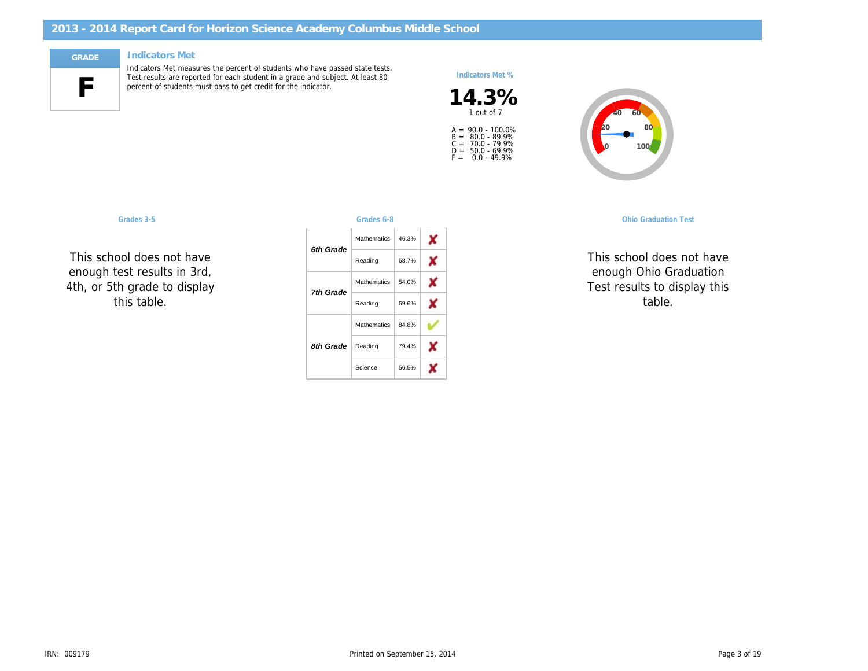

#### **GRADE Indicators Met**

Indicators Met measures the percent of students who have passed state tests. Test results are reported for each student in a grade and subject. At least 80 percent of students must pass to get credit for the indicator.

#### *Indicators Met %*





| <b>Ohio Graduation Tes</b> |  |  |
|----------------------------|--|--|
|                            |  |  |

*OGT, 10th Graders* Science *OGT, 11th Graders* **SUCCES** enough Ohio Graduation  $\sim$ TO Q Science table. NC NC This school does not have  $\cdots$ Test results to display this

**This school doe** *5th Grade* Reading uul c enough test results in 3rd, tn ar This school does not have  $\ddot{\phantom{0}}$ 4th, or 5th grade to display *this table.*

| Grades 3-5                                |                  | Grades 6-8  |       | <b>Ohio Graduation Test</b>                |
|-------------------------------------------|------------------|-------------|-------|--------------------------------------------|
|                                           | 6th Grade        | Mathematics | 46.3% |                                            |
| ol does not have                          |                  | Reading     | 68.7% | This school does no                        |
| est results in 3rd,<br>h grade to display | <b>7th Grade</b> | Mathematics | 54.0% | enough Ohio Gradu<br>Test results to displ |
| his table.                                |                  | Reading     | 69.6% | table.                                     |
|                                           |                  | Mathematics | 84.8% |                                            |
|                                           | 8th Grade        | Reading     | 79.4% |                                            |
|                                           |                  | Science     | 56.5% |                                            |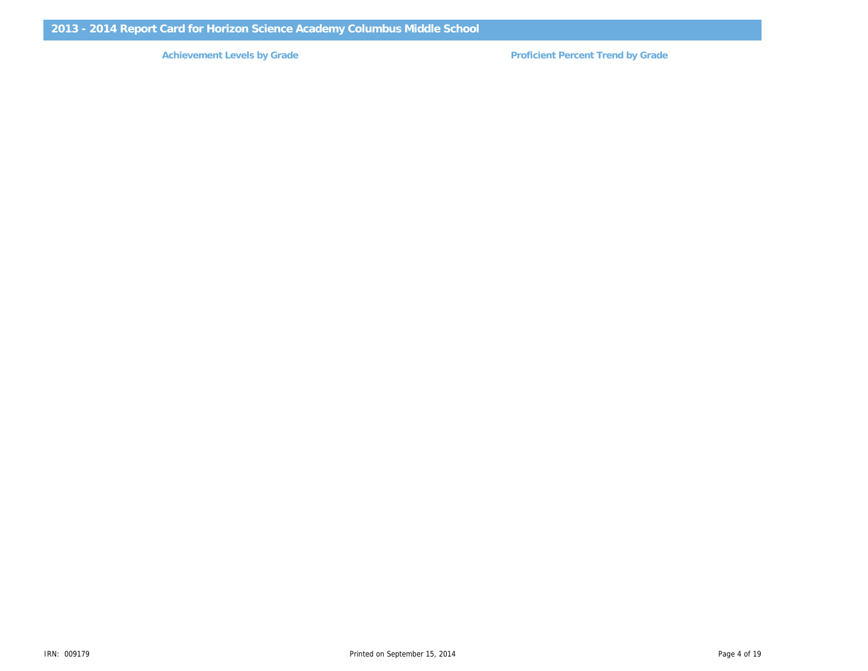Achievement Levels by Grade **Proficient Percent Trend by Grade Proficient Percent Trend by Grade**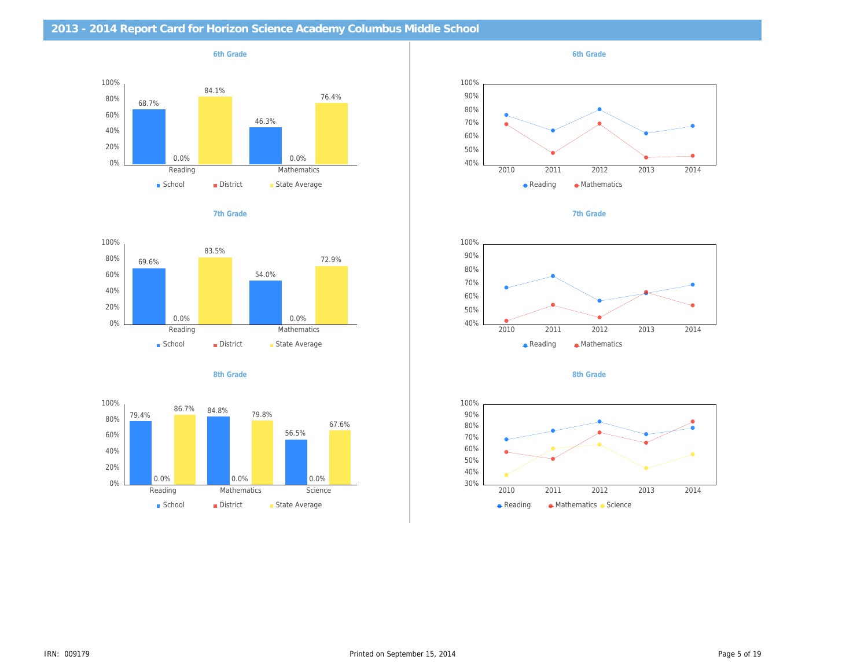## **2013 - 2014 Report Card for Horizon Science Academy Columbus Middle School**











*6th Grade*







*8th Grade*

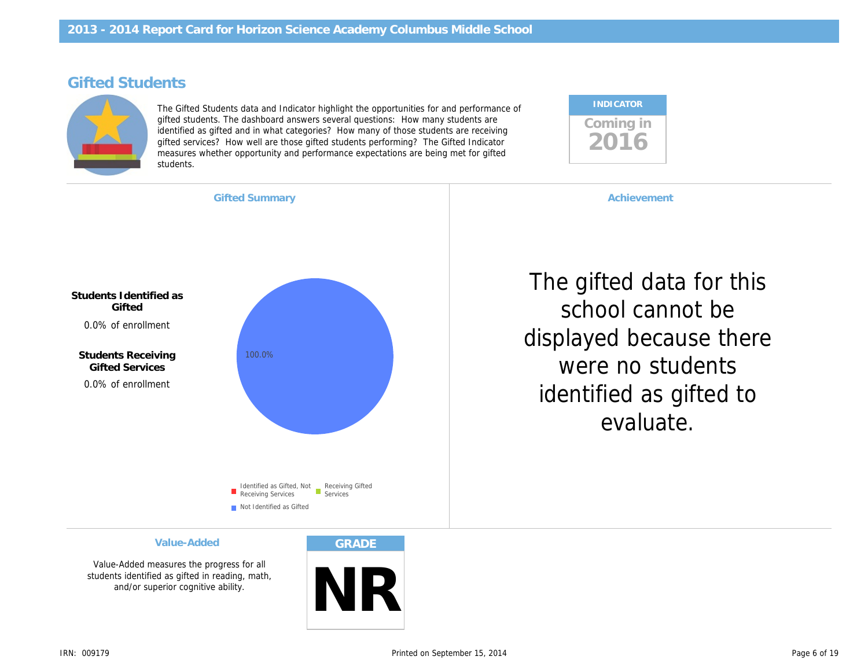# **Gifted Students**



The Gifted Students data and Indicator highlight the opportunities for and performance of gifted students. The dashboard answers several questions: How many students are identified as gifted and in what categories? How many of those students are receiving gifted services? How well are those gifted students performing? The Gifted Indicator measures whether opportunity and performance expectations are being met for gifted students.





Value-Added measures the progress for all students identified as gifted in reading, math, and/or superior cognitive ability.



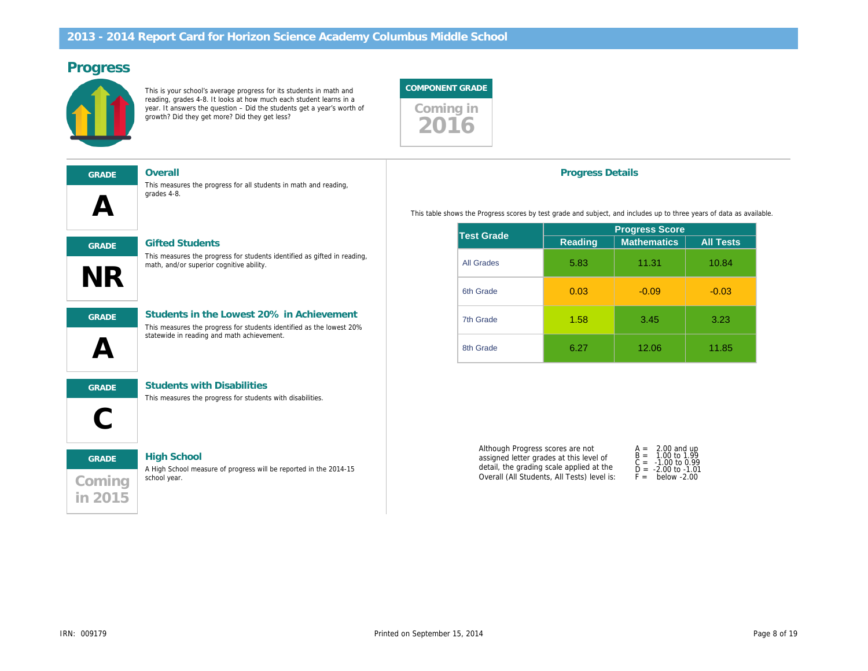## **Progress**



This is your school's average progress for its students in math and reading, grades 4-8. It looks at how much each student learns in a year. It answers the question – Did the students get a year's worth of growth? Did they get more? Did they get less?



# **A GRADE Overall Coming in 2015 GRADE High School NR GRADE Gifted Students C GRADE Students with Disabilities A GRADE Students in the Lowest 20% in Achievement** This measures the progress for all students in math and reading, grades 4-8. A High School measure of progress will be reported in the 2014-15 school year. This measures the progress for students identified as gifted in reading, math, and/or superior cognitive ability. This measures the progress for students with disabilities. This measures the progress for students identified as the lowest 20% statewide in reading and math achievement.

#### **Progress Details**

This table shows the Progress scores by test grade and subject, and includes up to three years of data as available.

| <b>Test Grade</b> | <b>Progress Score</b> |                    |                  |  |  |
|-------------------|-----------------------|--------------------|------------------|--|--|
|                   | <b>Reading</b>        | <b>Mathematics</b> | <b>All Tests</b> |  |  |
| <b>All Grades</b> | 5.83                  | 11.31              | 10.84            |  |  |
| 6th Grade         | 0.03                  | $-0.09$            | $-0.03$          |  |  |
| 7th Grade         | 1.58                  | 3.45               | 3.23             |  |  |
| 8th Grade         | 6.27                  | 12.06              | 11.85            |  |  |

| Although Progress scores are not            | $A = 2.00$ and up                             |
|---------------------------------------------|-----------------------------------------------|
| assigned letter grades at this level of     | $B = 1.00$ to 1.99                            |
| detail, the grading scale applied at the    | $C = -1.00$ to 0.99<br>$D = -2.00$ to $-1.01$ |
| Overall (All Students, All Tests) level is: | $F =$ below -2.00                             |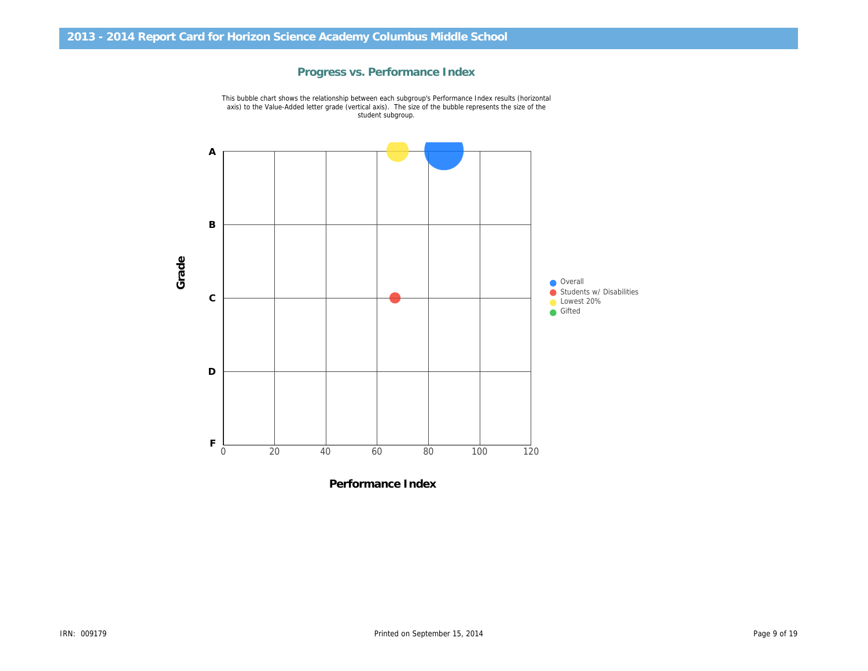## **Progress vs. Performance Index**



This bubble chart shows the relationship between each subgroup's Performance Index results (horizontal axis) to the Value-Added letter grade (vertical axis). The size of the bubble represents the size of the student subgroup.

**Performance Index**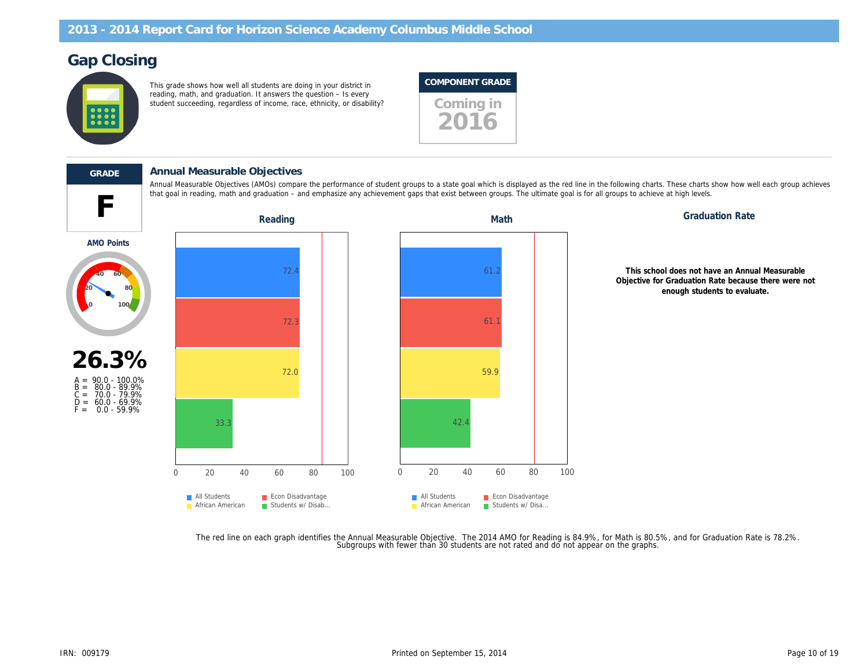# **Gap Closing**



This grade shows how well all students are doing in your district in reading, math, and graduation. It answers the question – Is every student succeeding, regardless of income, race, ethnicity, or disability? **Coming in** 

#### **COMPONENT GRADE**



**F**

## **GRADE Annual Measurable Objectives**

Annual Measurable Objectives (AMOs) compare the performance of student groups to a state goal which is displayed as the red line in the following charts. These charts show how well each group achieves that goal in reading, math and graduation – and emphasize any achievement gaps that exist between groups. The ultimate goal is for all groups to achieve at high levels.



The red line on each graph identifies the Annual Measurable Objective. The 2014 AMO for Reading is 84.9%, for Math is 80.5%, and for Graduation Rate is 78.2%.<br>Subgroups with fewer than 30 students are not rated and do not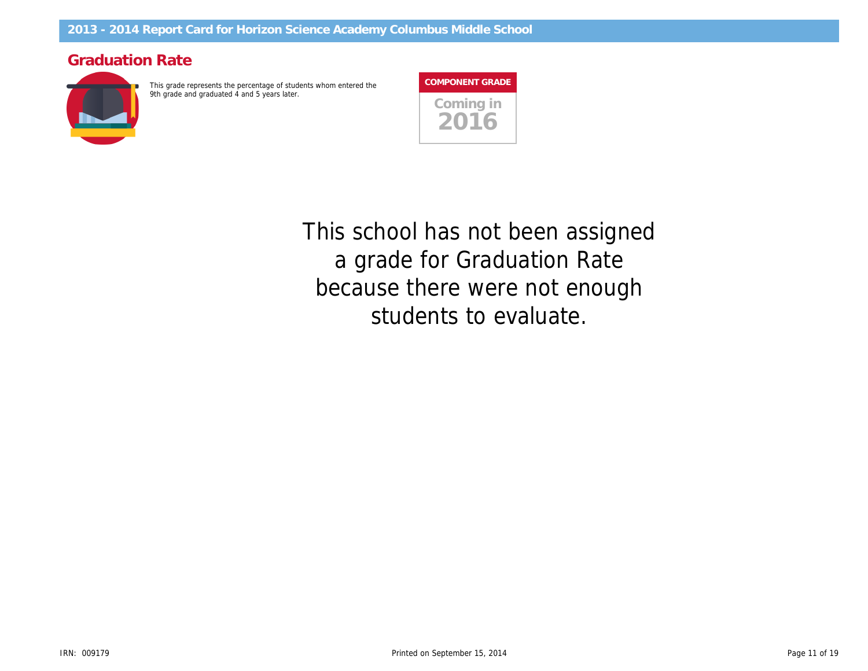# **Graduation Rate**



This grade represents the percentage of students whom entered the 9th grade and graduated 4 and 5 years later.

**Coming in 2016 COMPONENT GRADE**

students to evaluate. 6 6 *because there were not enough* a grade for Graduation Rate <u>ب</u> ا **40 60 80** *This school has not been assigned*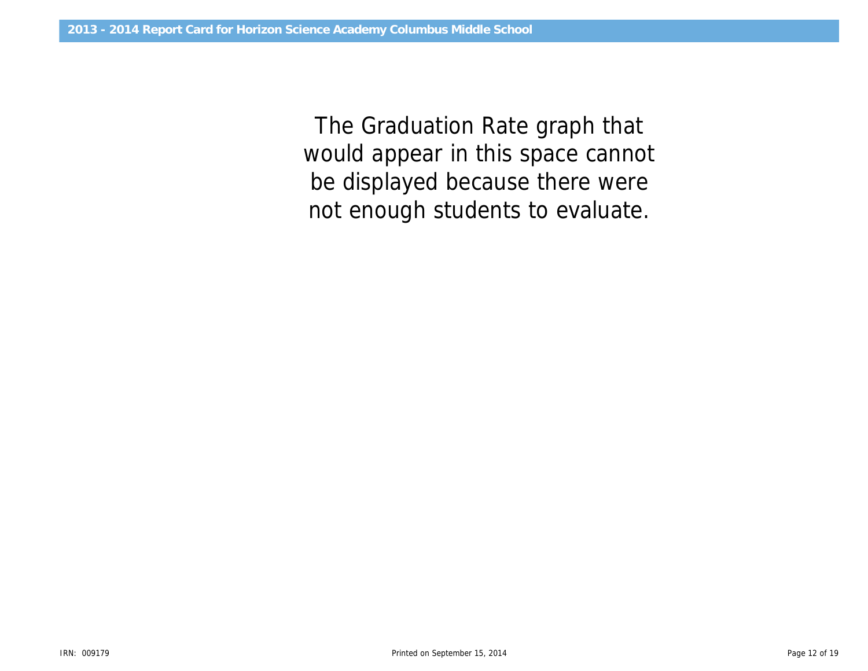would appear in this space cannot *The Graduation Rate graph that be displayed because there were not enough students to evaluate.*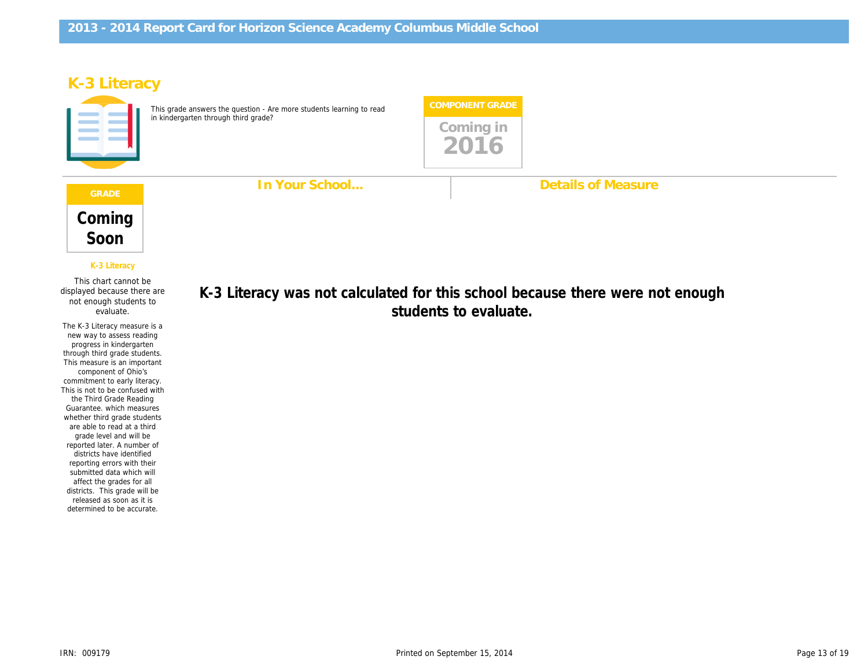**In Your School...**

# **K-3 Literacy**



This grade answers the question - Are more students learning to read in kindergarten through third grade?



**Details of Measure**

*Coming Soon*

*K-3 Literacy*

**o.** This chart cannot be<br>displayed because there are<br>not enough students to This chart cannot be not enough students to evaluate.

The K-3 Literacy measure is a new way to assess reading progress in kindergarten through third grade students. This measure is an important component of Ohio's commitment to early literacy. This is not to be confused with the Third Grade Reading Guarantee. which measures whether third grade students are able to read at a third grade level and will be reported later. A number of districts have identified reporting errors with their submitted data which will affect the grades for all districts. This grade will be released as soon as it is determined to be accurate.

Diagnostic, School chool bec: < 10 **to** Diagnostic, School /ere not er  $100$ students to evaluate. K-3 Literacy was not calculated for this school because there were not enough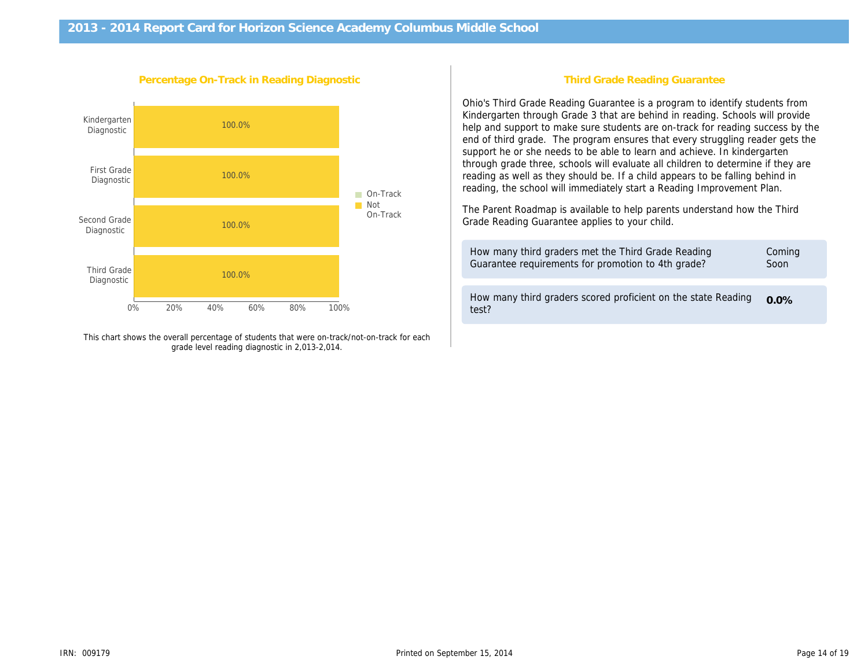

This chart shows the overall percentage of students that were on-track/not-on-track for each grade level reading diagnostic in 2,013-2,014.

### **Third Grade Reading Guarantee**

Ohio's Third Grade Reading Guarantee is a program to identify students from Kindergarten through Grade 3 that are behind in reading. Schools will provide help and support to make sure students are on-track for reading success by the end of third grade. The program ensures that every struggling reader gets the support he or she needs to be able to learn and achieve. In kindergarten through grade three, schools will evaluate all children to determine if they are reading as well as they should be. If a child appears to be falling behind in reading, the school will immediately start a Reading Improvement Plan.

The Parent Roadmap is available to help parents understand how the Third Grade Reading Guarantee applies to your child.

| How many third graders met the Third Grade Reading                     | Coming  |
|------------------------------------------------------------------------|---------|
| Guarantee requirements for promotion to 4th grade?                     | Soon    |
| How many third graders scored proficient on the state Reading<br>test? | $0.0\%$ |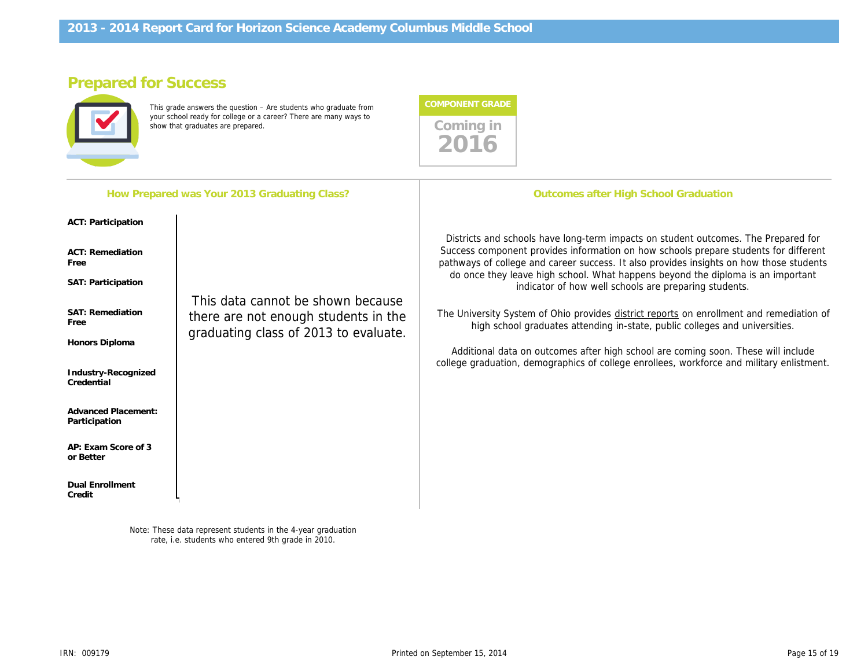# **Prepared for Success**



This grade answers the question – Are students who graduate from your school ready for college or a career? There are many ways to show that graduates are prepared.

| <b>COMPONENT GRADE</b> |
|------------------------|
| Coming in              |

|                                                                                                                                                                                                                                            | How Prepared was Your 2013 Graduating Class?                                                                       | <b>Outcomes after High School Graduation</b>                                                                                                                                                                                                                                                                                                                                                                                                                                                                                                                                                                                                                                                                                                                                   |
|--------------------------------------------------------------------------------------------------------------------------------------------------------------------------------------------------------------------------------------------|--------------------------------------------------------------------------------------------------------------------|--------------------------------------------------------------------------------------------------------------------------------------------------------------------------------------------------------------------------------------------------------------------------------------------------------------------------------------------------------------------------------------------------------------------------------------------------------------------------------------------------------------------------------------------------------------------------------------------------------------------------------------------------------------------------------------------------------------------------------------------------------------------------------|
| ACT: Participation<br>ACT: Remediation<br>Free<br>SAT: Participation<br>SAT: Remediation<br>Free<br>Honors Diploma<br>Industry-Recognized<br>Credential<br><b>Advanced Placement:</b><br>Participation<br>AP: Exam Score of 3<br>or Better | This data cannot be shown because<br>there are not enough students in the<br>graduating class of 2013 to evaluate. | Districts and schools have long-term impacts on student outcomes. The Prepared for<br>Success component provides information on how schools prepare students for different<br>pathways of college and career success. It also provides insights on how those students<br>do once they leave high school. What happens beyond the diploma is an important<br>indicator of how well schools are preparing students.<br>The University System of Ohio provides district reports on enrollment and remediation of<br>high school graduates attending in-state, public colleges and universities.<br>Additional data on outcomes after high school are coming soon. These will include<br>college graduation, demographics of college enrollees, workforce and military enlistment. |

*Note: These data represent students in the 4-year graduation rate, i.e. students who entered 9th grade in 2010.*

0.0%

0% 25% 50% 75% 100%

**Dual Enrollment**

**Credit**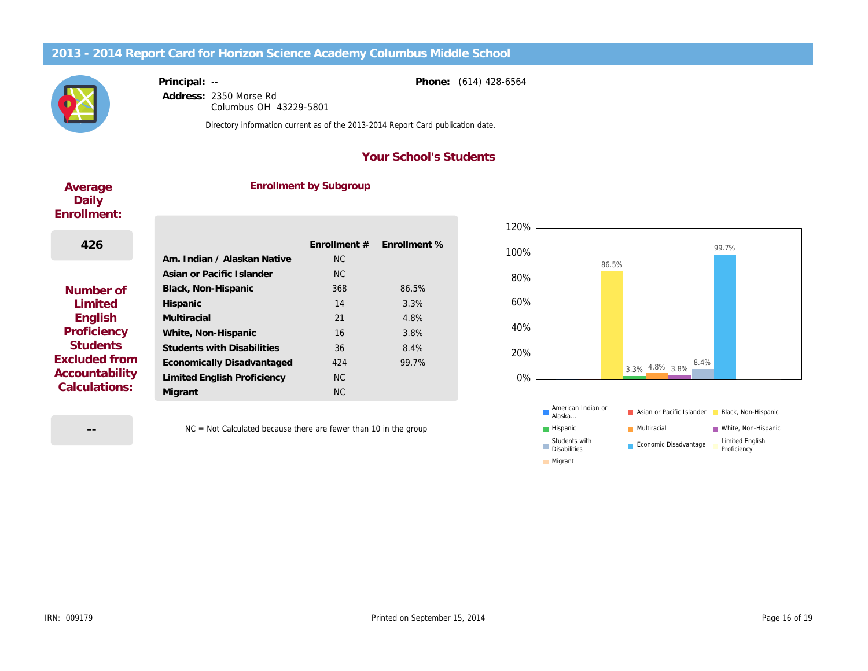## **2013 - 2014 Report Card for Horizon Science Academy Columbus Middle School**



**Principal:** -- **Address:** 2350 Morse Rd Columbus OH 43229-5801

*Directory information current as of the 2013-2014 Report Card publication date.*

## **Your School's Students**

**Phone:** (614) 428-6564

## **Average Daily Enrollment:**

# **Enrollment by Subgroup**

| 426             |                                   | Fnrollment $#$ | Fnrollment % |
|-----------------|-----------------------------------|----------------|--------------|
|                 | Am. Indian / Alaskan Native       | NC.            |              |
|                 | Asian or Pacific Islander         | NC.            |              |
| Number of       | Black, Non-Hispanic               | 368            | 86.5%        |
| <b>Limited</b>  | Hispanic                          | 14             | 3.3%         |
| English         | Multiracial                       | 21             | 4.8%         |
| Proficiency     | White, Non-Hispanic               | 16             | 3.8%         |
| <b>Students</b> | <b>Students with Disabilities</b> | 36             | 8.4%         |
| Excluded from   | Economically Disadvantaged        | 424            | 99.7%        |
| Accountability  | Limited English Proficiency       | NC.            |              |
| Calculations:   | Migrant                           | NC.            |              |

**--**

NC = Not Calculated because there are fewer than 10 in the group



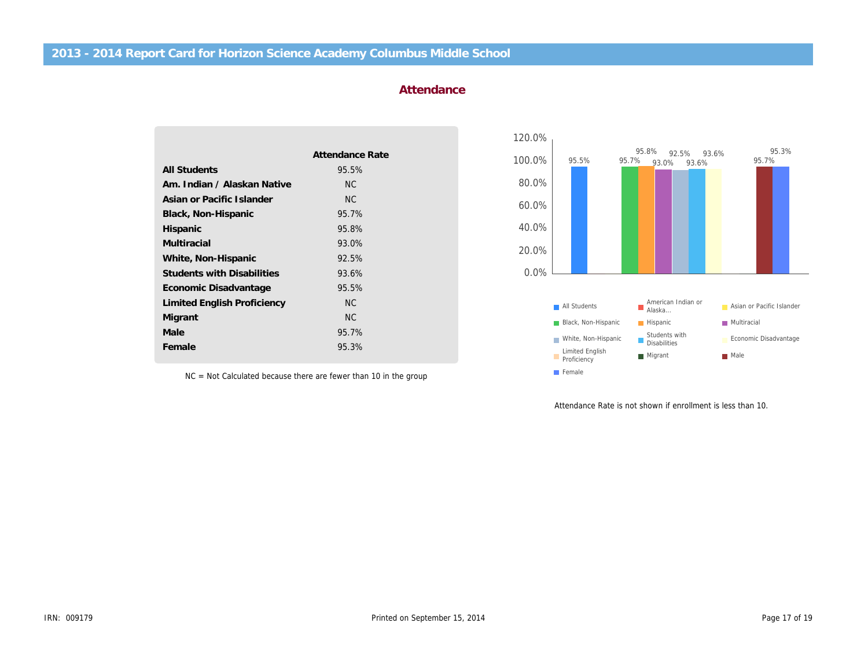|                                   | Attendance Rate |
|-----------------------------------|-----------------|
| <b>All Students</b>               | 95.5%           |
| Am. Indian / Alaskan Native       | NC.             |
| Asian or Pacific Islander         | NC.             |
| Black, Non-Hispanic               | 95.7%           |
| Hispanic                          | 95.8%           |
| Multiracial                       | 93.0%           |
| White, Non-Hispanic               | 92.5%           |
| <b>Students with Disabilities</b> | 93.6%           |
| Economic Disadvantage             | 95.5%           |
| Limited English Proficiency       | NC.             |
| Migrant                           | <b>NC</b>       |
| Male                              | 95.7%           |
| Female                            | 95.3%           |
|                                   |                 |

**Attendance**

120.0%



NC = Not Calculated because there are fewer than 10 in the group

Attendance Rate is not shown if enrollment is less than 10.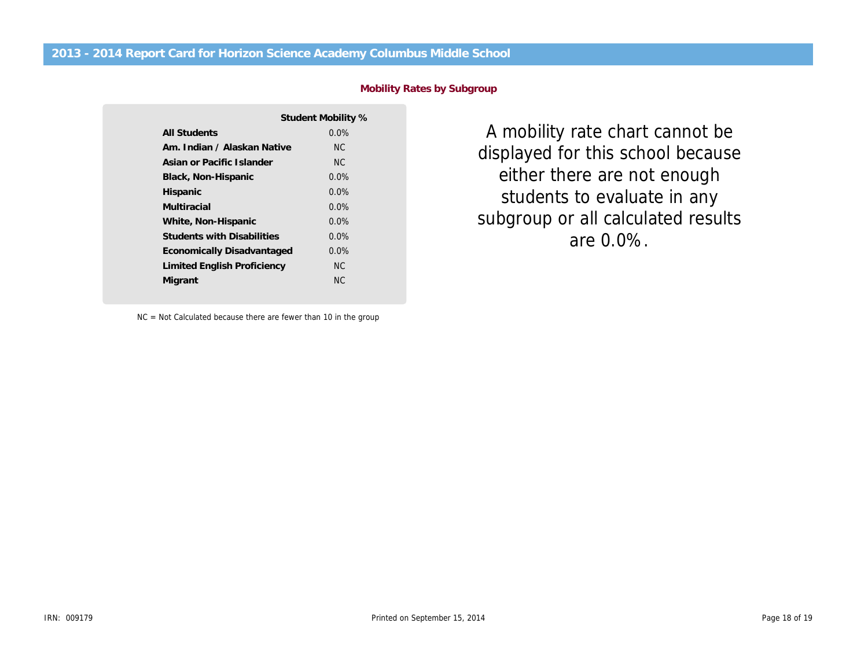|                                   | Student Mobility % |
|-----------------------------------|--------------------|
| All Students                      | $0.0\%$            |
| Am. Indian / Alaskan Native       | NC.                |
| Asian or Pacific Islander         | NC.                |
| Black, Non-Hispanic               | $0.0\%$            |
| Hispanic                          | $0.0\%$            |
| Multiracial                       | $0.0\%$            |
| White, Non-Hispanic               | $0.0\%$            |
| <b>Students with Disabilities</b> | $0.0\%$            |
| Economically Disadvantaged        | $0.0\%$            |
| Limited English Proficiency       | NC.                |
| Migrant                           | NC.                |

**Mobility Rates by Subgroup**

subgroup or all calculated results displayed for this school because 400% *A mobility rate chart cannot be* students to evaluate in any *either there are not enough are 0.0%.*

NC = Not Calculated because there are fewer than 10 in the group